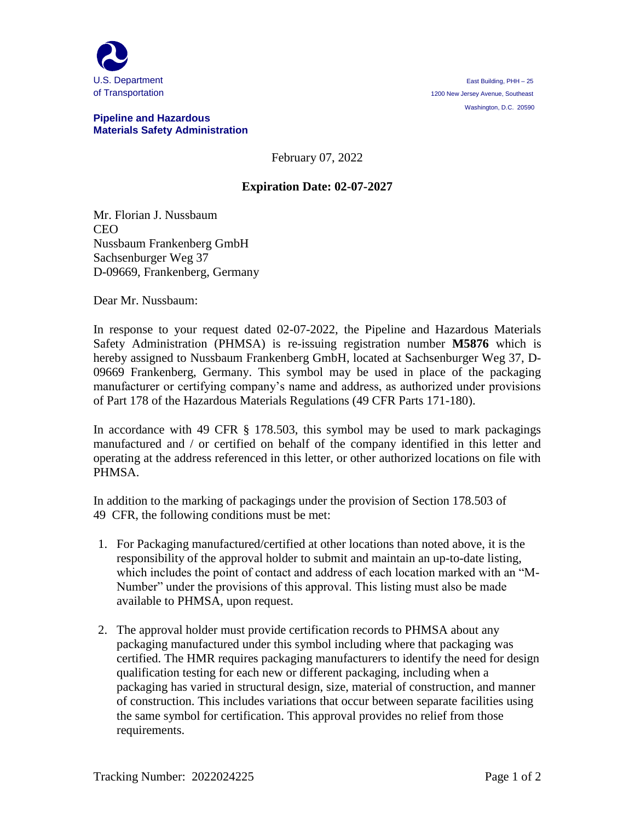

## **Pipeline and Hazardous Materials Safety Administration**

February 07, 2022

## **Expiration Date: 02-07-2027**

Mr. Florian J. Nussbaum CEO Nussbaum Frankenberg GmbH Sachsenburger Weg 37 D-09669, Frankenberg, Germany

Dear Mr. Nussbaum:

In response to your request dated 02-07-2022, the Pipeline and Hazardous Materials Safety Administration (PHMSA) is re-issuing registration number **M5876** which is hereby assigned to Nussbaum Frankenberg GmbH, located at Sachsenburger Weg 37, D-09669 Frankenberg, Germany. This symbol may be used in place of the packaging manufacturer or certifying company's name and address, as authorized under provisions of Part 178 of the Hazardous Materials Regulations (49 CFR Parts 171-180).

In accordance with 49 CFR § 178.503, this symbol may be used to mark packagings manufactured and / or certified on behalf of the company identified in this letter and operating at the address referenced in this letter, or other authorized locations on file with PHMSA.

In addition to the marking of packagings under the provision of Section 178.503 of 49 CFR, the following conditions must be met:

- 1. For Packaging manufactured/certified at other locations than noted above, it is the responsibility of the approval holder to submit and maintain an up-to-date listing, which includes the point of contact and address of each location marked with an "M-Number" under the provisions of this approval. This listing must also be made available to PHMSA, upon request.
- 2. The approval holder must provide certification records to PHMSA about any packaging manufactured under this symbol including where that packaging was certified. The HMR requires packaging manufacturers to identify the need for design qualification testing for each new or different packaging, including when a packaging has varied in structural design, size, material of construction, and manner of construction. This includes variations that occur between separate facilities using the same symbol for certification. This approval provides no relief from those requirements.